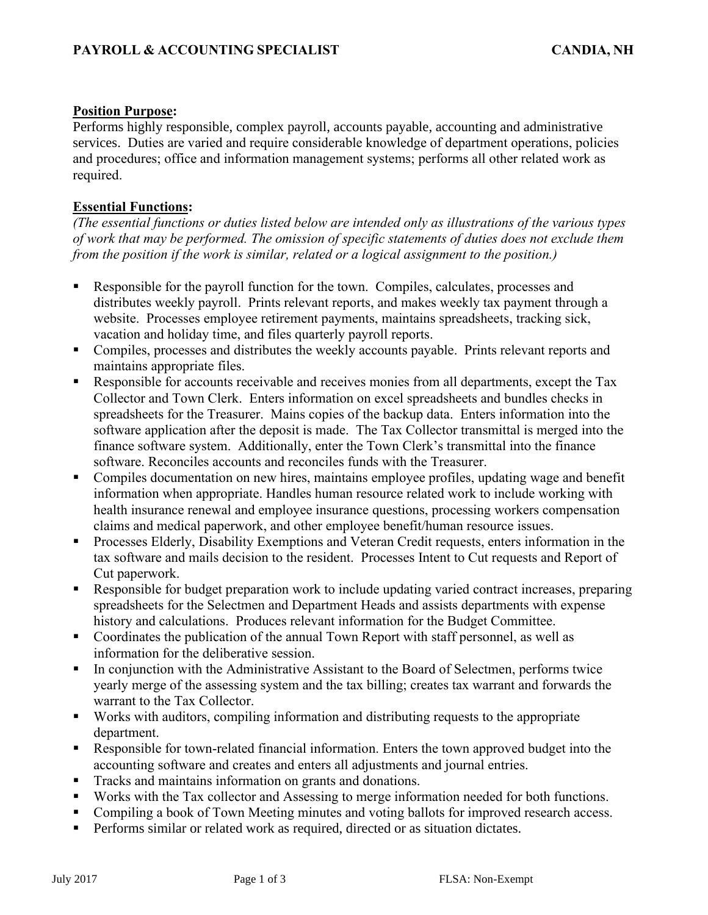## **Position Purpose:**

Performs highly responsible, complex payroll, accounts payable, accounting and administrative services. Duties are varied and require considerable knowledge of department operations, policies and procedures; office and information management systems; performs all other related work as required.

## **Essential Functions:**

*(The essential functions or duties listed below are intended only as illustrations of the various types of work that may be performed. The omission of specific statements of duties does not exclude them from the position if the work is similar, related or a logical assignment to the position.)*

- Responsible for the payroll function for the town. Compiles, calculates, processes and distributes weekly payroll. Prints relevant reports, and makes weekly tax payment through a website. Processes employee retirement payments, maintains spreadsheets, tracking sick, vacation and holiday time, and files quarterly payroll reports.
- Compiles, processes and distributes the weekly accounts payable. Prints relevant reports and maintains appropriate files.
- Responsible for accounts receivable and receives monies from all departments, except the Tax Collector and Town Clerk. Enters information on excel spreadsheets and bundles checks in spreadsheets for the Treasurer. Mains copies of the backup data. Enters information into the software application after the deposit is made. The Tax Collector transmittal is merged into the finance software system. Additionally, enter the Town Clerk's transmittal into the finance software. Reconciles accounts and reconciles funds with the Treasurer.
- Compiles documentation on new hires, maintains employee profiles, updating wage and benefit information when appropriate. Handles human resource related work to include working with health insurance renewal and employee insurance questions, processing workers compensation claims and medical paperwork, and other employee benefit/human resource issues.
- Processes Elderly, Disability Exemptions and Veteran Credit requests, enters information in the tax software and mails decision to the resident. Processes Intent to Cut requests and Report of Cut paperwork.
- Responsible for budget preparation work to include updating varied contract increases, preparing spreadsheets for the Selectmen and Department Heads and assists departments with expense history and calculations. Produces relevant information for the Budget Committee.
- Coordinates the publication of the annual Town Report with staff personnel, as well as information for the deliberative session.
- In conjunction with the Administrative Assistant to the Board of Selectmen, performs twice yearly merge of the assessing system and the tax billing; creates tax warrant and forwards the warrant to the Tax Collector.
- Works with auditors, compiling information and distributing requests to the appropriate department.
- Responsible for town-related financial information. Enters the town approved budget into the accounting software and creates and enters all adjustments and journal entries.
- **Tracks and maintains information on grants and donations.**
- Works with the Tax collector and Assessing to merge information needed for both functions.
- Compiling a book of Town Meeting minutes and voting ballots for improved research access.
- **•** Performs similar or related work as required, directed or as situation dictates.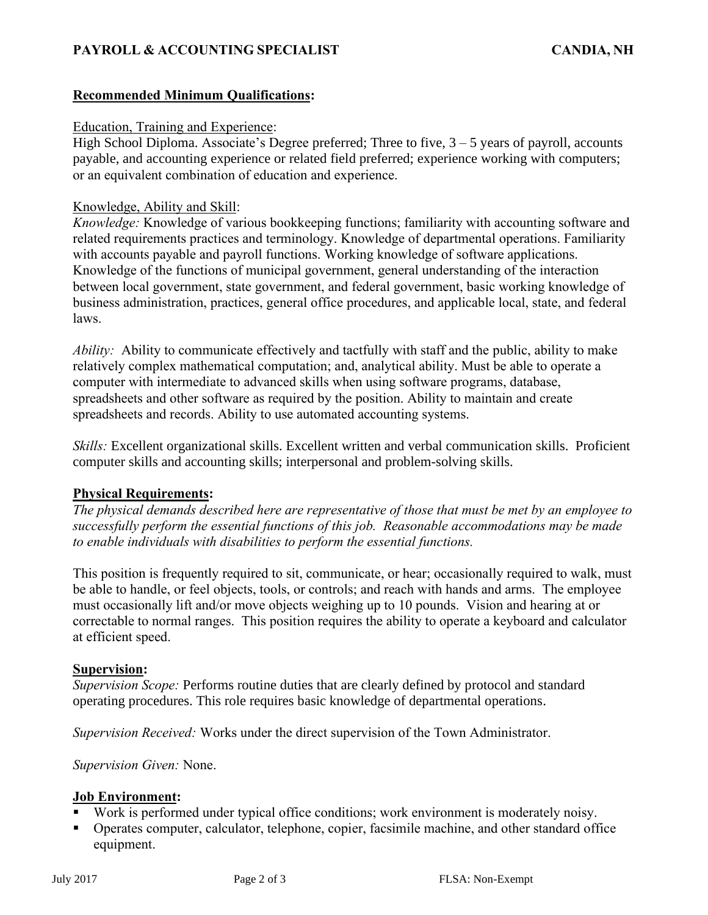# **PAYROLL & ACCOUNTING SPECIALIST CANDIA, NH**

## **Recommended Minimum Qualifications:**

#### Education, Training and Experience:

High School Diploma. Associate's Degree preferred; Three to five,  $3 - 5$  years of payroll, accounts payable, and accounting experience or related field preferred; experience working with computers; or an equivalent combination of education and experience.

#### Knowledge, Ability and Skill:

*Knowledge:* Knowledge of various bookkeeping functions; familiarity with accounting software and related requirements practices and terminology. Knowledge of departmental operations. Familiarity with accounts payable and payroll functions. Working knowledge of software applications. Knowledge of the functions of municipal government, general understanding of the interaction between local government, state government, and federal government, basic working knowledge of business administration, practices, general office procedures, and applicable local, state, and federal laws.

*Ability:* Ability to communicate effectively and tactfully with staff and the public, ability to make relatively complex mathematical computation; and, analytical ability. Must be able to operate a computer with intermediate to advanced skills when using software programs, database, spreadsheets and other software as required by the position. Ability to maintain and create spreadsheets and records. Ability to use automated accounting systems.

*Skills:* Excellent organizational skills. Excellent written and verbal communication skills. Proficient computer skills and accounting skills; interpersonal and problem-solving skills.

### **Physical Requirements:**

*The physical demands described here are representative of those that must be met by an employee to successfully perform the essential functions of this job. Reasonable accommodations may be made to enable individuals with disabilities to perform the essential functions.*

This position is frequently required to sit, communicate, or hear; occasionally required to walk, must be able to handle, or feel objects, tools, or controls; and reach with hands and arms. The employee must occasionally lift and/or move objects weighing up to 10 pounds. Vision and hearing at or correctable to normal ranges. This position requires the ability to operate a keyboard and calculator at efficient speed.

#### **Supervision:**

*Supervision Scope:* Performs routine duties that are clearly defined by protocol and standard operating procedures. This role requires basic knowledge of departmental operations.

*Supervision Received:* Works under the direct supervision of the Town Administrator.

*Supervision Given:* None.

### **Job Environment:**

- Work is performed under typical office conditions; work environment is moderately noisy.
- Operates computer, calculator, telephone, copier, facsimile machine, and other standard office equipment.